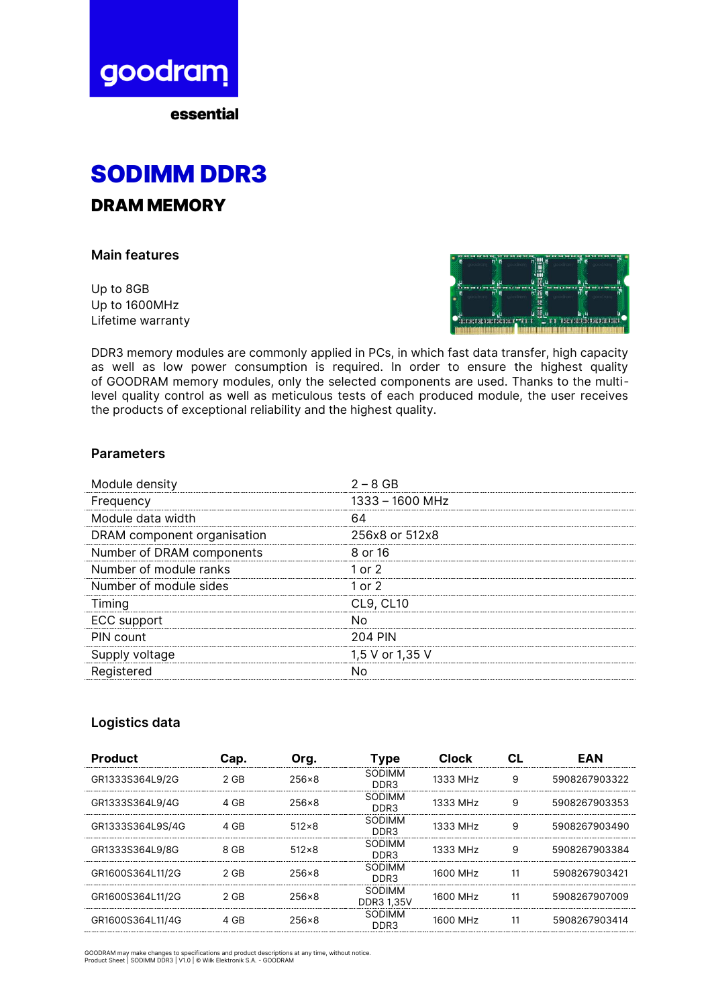

essential



DRAM MEMORY

**Main features**

Up to 8GB Up to 1600MHz Lifetime warranty



DDR3 memory modules are commonly applied in PCs, in which fast data transfer, high capacity as well as low power consumption is required. In order to ensure the highest quality of GOODRAM memory modules, only the selected components are used. Thanks to the multilevel quality control as well as meticulous tests of each produced module, the user receives the products of exceptional reliability and the highest quality.

## **Parameters**

| Module density              | $2 - 8$ GB       |
|-----------------------------|------------------|
| Frequency                   | 1333 - 1600 MHz  |
| Module data width           | 64               |
| DRAM component organisation | 256x8 or 512x8   |
| Number of DRAM components   | 8 or 16          |
| Number of module ranks      | 1 or $2$         |
| Number of module sides      | 1 or $2$         |
| Timing                      | <b>CL9, CL10</b> |
| ECC support                 | Nο               |
| PIN count                   | 204 PIN          |
| Supply voltage              | 1,5 V or 1,35 V  |
| Registered                  | N٥               |

## **Logistics data**

| <b>Product</b>   | Cap. | Org.         | <b>Type</b>                 | <b>Clock</b>         | Сl | <b>EAN</b>    |
|------------------|------|--------------|-----------------------------|----------------------|----|---------------|
| GR1333S364L9/2G  | 2 GB | $256\times8$ | SODIMM<br>DDR3              | 1333 MH <sub>7</sub> | 9  | 5908267903322 |
| GR1333S364L9/4G  | 4 GB | 256×8        | SODIMM<br>DDR3              | 1333 MHz             | 9  | 5908267903353 |
| GR1333S364L9S/4G | 4 GB | $512\times8$ | SODIMM<br>DDR3              | 1333 MHz             | 9  | 5908267903490 |
| GR1333S364L9/8G  | 8 GB | $512\times8$ | SODIMM<br>DDR3              | 1333 MHz             | 9  | 5908267903384 |
| GR1600S364L11/2G | 2 GB | 256×8        | SODIMM<br>DDR3              | 1600 MH <sub>7</sub> | 11 | 5908267903421 |
| GR1600S364L11/2G | 2 GB | 256×8        | SODIMM<br><b>DDR3 1,35V</b> | 1600 MH <sub>7</sub> | 11 | 5908267907009 |
| GR1600S364L11/4G | 4 GB | 256×8        | SODIMM<br>DDR <sub>3</sub>  | 1600 MH <sub>7</sub> | 11 | 5908267903414 |

GOODRAM may make changes to specifications and product descriptions at any time, without notice. Product Sheet | SODIMM DDR3 | V1.0 | © Wilk Elektronik S.A. - GOODRAM